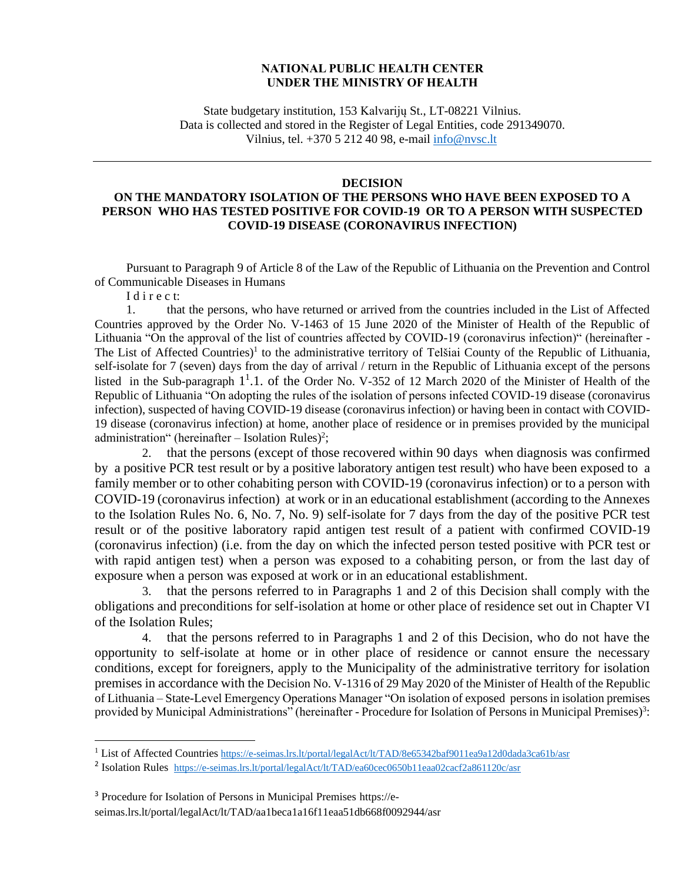## **NATIONAL PUBLIC HEALTH CENTER UNDER THE MINISTRY OF HEALTH**

State budgetary institution, 153 Kalvarijų St., LT-08221 Vilnius. Data is collected and stored in the Register of Legal Entities, code 291349070. Vilnius, tel. +370 5 212 40 98, e-mail [info@nvsc.lt](mailto:info@nvsc.lt)

## **DECISION**

## **ON THE MANDATORY ISOLATION OF THE PERSONS WHO HAVE BEEN EXPOSED TO A PERSON WHO HAS TESTED POSITIVE FOR COVID-19 OR TO A PERSON WITH SUSPECTED COVID-19 DISEASE (CORONAVIRUS INFECTION)**

Pursuant to Paragraph 9 of Article 8 of the Law of the Republic of Lithuania on the Prevention and Control of Communicable Diseases in Humans

I d i r e c t:

1. that the persons, who have returned or arrived from the countries included in the List of Affected Countries approved by the Order No. V-1463 of 15 June 2020 of the Minister of Health of the Republic of Lithuania "On the approval of the list of countries affected by COVID-19 (coronavirus infection)" (hereinafter - The List of Affected Countries)<sup>1</sup> to the administrative territory of Telšiai County of the Republic of Lithuania, self-isolate for 7 (seven) days from the day of arrival / return in the Republic of Lithuania except of the persons listed in the Sub-paragraph 1<sup>1</sup>.1. of the Order No. V-352 of 12 March 2020 of the Minister of Health of the Republic of Lithuania "On adopting the rules of the isolation of persons infected COVID-19 disease (coronavirus infection), suspected of having COVID-19 disease (coronavirus infection) or having been in contact with COVID-19 disease (coronavirus infection) at home, another place of residence or in premises provided by the municipal administration" (hereinafter  $-$  Isolation Rules)<sup>2</sup>;

2. that the persons (except of those recovered within 90 days when diagnosis was confirmed by a positive PCR test result or by a positive laboratory antigen test result) who have been exposed to a family member or to other cohabiting person with COVID-19 (coronavirus infection) or to a person with COVID-19 (coronavirus infection) at work or in an educational establishment (according to the Annexes to the Isolation Rules No. 6, No. 7, No. 9) self-isolate for 7 days from the day of the positive PCR test result or of the positive laboratory rapid antigen test result of a patient with confirmed COVID-19 (coronavirus infection) (i.e. from the day on which the infected person tested positive with PCR test or with rapid antigen test) when a person was exposed to a cohabiting person, or from the last day of exposure when a person was exposed at work or in an educational establishment.

3. that the persons referred to in Paragraphs 1 and 2 of this Decision shall comply with the obligations and preconditions for self-isolation at home or other place of residence set out in Chapter VI of the Isolation Rules;

4. that the persons referred to in Paragraphs 1 and 2 of this Decision, who do not have the opportunity to self-isolate at home or in other place of residence or cannot ensure the necessary conditions, except for foreigners, apply to the Municipality of the administrative territory for isolation premises in accordance with the Decision No. V-1316 of 29 May 2020 of the Minister of Health of the Republic of Lithuania – State-Level Emergency Operations Manager "On isolation of exposed persons in isolation premises provided by Municipal Administrations" (hereinafter - Procedure for Isolation of Persons in Municipal Premises)<sup>3</sup>:

<sup>&</sup>lt;sup>1</sup> List of Affected Countries <https://e-seimas.lrs.lt/portal/legalAct/lt/TAD/8e65342baf9011ea9a12d0dada3ca61b/asr>

<sup>&</sup>lt;sup>2</sup> Isolation Rules <https://e-seimas.lrs.lt/portal/legalAct/lt/TAD/ea60cec0650b11eaa02cacf2a861120c/asr>

<sup>3</sup> Procedure for Isolation of Persons in Municipal Premises https://eseimas.lrs.lt/portal/legalAct/lt/TAD/aa1beca1a16f11eaa51db668f0092944/asr